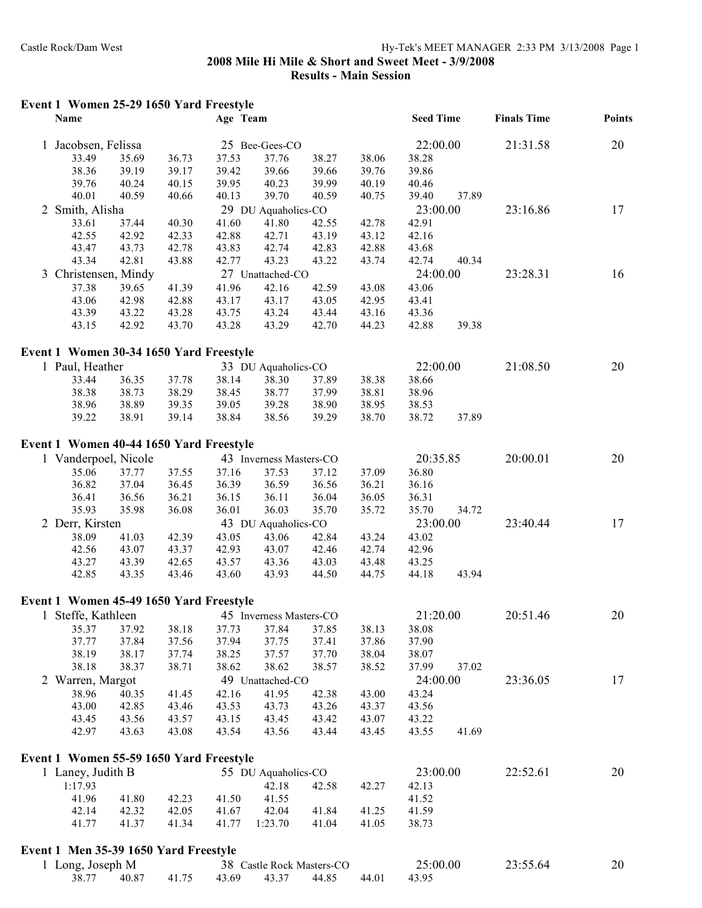## **2008 Mile Hi Mile & Short and Sweet Meet - 3/9/2008 Results - Main Session**

## **Event 1 Women 25-29 1650 Yard Freestyle**

| Name                                    |       |       | Age Team |                                     |       |       | <b>Seed Time</b> |       | <b>Finals Time</b> | Points |
|-----------------------------------------|-------|-------|----------|-------------------------------------|-------|-------|------------------|-------|--------------------|--------|
| 1 Jacobsen, Felissa                     |       |       |          | 25 Bee-Gees-CO                      |       |       | 22:00.00         |       | 21:31.58           | 20     |
| 33.49                                   | 35.69 | 36.73 | 37.53    | 37.76                               | 38.27 | 38.06 | 38.28            |       |                    |        |
| 38.36                                   | 39.19 | 39.17 | 39.42    | 39.66                               | 39.66 | 39.76 | 39.86            |       |                    |        |
| 39.76                                   | 40.24 | 40.15 | 39.95    | 40.23                               | 39.99 | 40.19 | 40.46            |       |                    |        |
| 40.01                                   | 40.59 | 40.66 | 40.13    | 39.70                               | 40.59 | 40.75 | 39.40            | 37.89 |                    |        |
| 2 Smith, Alisha                         |       |       |          | 29 DU Aquaholics-CO                 |       |       | 23:00.00         |       | 23:16.86           | 17     |
|                                         |       |       | 41.60    |                                     |       |       |                  |       |                    |        |
| 33.61                                   | 37.44 | 40.30 |          | 41.80                               | 42.55 | 42.78 | 42.91            |       |                    |        |
| 42.55                                   | 42.92 | 42.33 | 42.88    | 42.71                               | 43.19 | 43.12 | 42.16            |       |                    |        |
| 43.47                                   | 43.73 | 42.78 | 43.83    | 42.74                               | 42.83 | 42.88 | 43.68            |       |                    |        |
| 43.34                                   | 42.81 | 43.88 | 42.77    | 43.23                               | 43.22 | 43.74 | 42.74            | 40.34 |                    |        |
| 3 Christensen, Mindy                    |       |       |          | 27 Unattached-CO                    |       |       | 24:00.00         |       | 23:28.31           | 16     |
| 37.38                                   | 39.65 | 41.39 | 41.96    | 42.16                               | 42.59 | 43.08 | 43.06            |       |                    |        |
| 43.06                                   | 42.98 | 42.88 | 43.17    | 43.17                               | 43.05 | 42.95 | 43.41            |       |                    |        |
| 43.39                                   | 43.22 | 43.28 | 43.75    | 43.24                               | 43.44 | 43.16 | 43.36            |       |                    |        |
| 43.15                                   | 42.92 | 43.70 | 43.28    | 43.29                               | 42.70 | 44.23 | 42.88            | 39.38 |                    |        |
| Event 1 Women 30-34 1650 Yard Freestyle |       |       |          |                                     |       |       |                  |       |                    |        |
| 1 Paul, Heather                         |       |       |          | 33 DU Aquaholics-CO                 |       |       | 22:00.00         |       | 21:08.50           | 20     |
| 33.44                                   | 36.35 | 37.78 | 38.14    | 38.30                               | 37.89 | 38.38 | 38.66            |       |                    |        |
| 38.38                                   | 38.73 | 38.29 | 38.45    | 38.77                               | 37.99 | 38.81 | 38.96            |       |                    |        |
| 38.96                                   | 38.89 | 39.35 | 39.05    | 39.28                               | 38.90 | 38.95 | 38.53            |       |                    |        |
| 39.22                                   | 38.91 | 39.14 | 38.84    | 38.56                               | 39.29 | 38.70 | 38.72            | 37.89 |                    |        |
|                                         |       |       |          |                                     |       |       |                  |       |                    |        |
| Event 1 Women 40-44 1650 Yard Freestyle |       |       |          |                                     |       |       |                  |       |                    |        |
| 1 Vanderpoel, Nicole                    |       |       |          | 43 Inverness Masters-CO             |       |       | 20:35.85         |       | 20:00.01           | 20     |
| 35.06                                   | 37.77 | 37.55 | 37.16    | 37.53                               | 37.12 | 37.09 | 36.80            |       |                    |        |
| 36.82                                   | 37.04 | 36.45 | 36.39    | 36.59                               | 36.56 | 36.21 | 36.16            |       |                    |        |
| 36.41                                   | 36.56 | 36.21 | 36.15    | 36.11                               | 36.04 | 36.05 | 36.31            |       |                    |        |
| 35.93                                   | 35.98 | 36.08 | 36.01    | 36.03                               | 35.70 | 35.72 | 35.70            | 34.72 |                    |        |
| 2 Derr, Kirsten                         |       |       |          | 43 DU Aquaholics-CO                 |       |       | 23:00.00         |       | 23:40.44           | 17     |
| 38.09                                   | 41.03 | 42.39 | 43.05    | 43.06                               | 42.84 | 43.24 | 43.02            |       |                    |        |
| 42.56                                   | 43.07 | 43.37 | 42.93    | 43.07                               | 42.46 | 42.74 | 42.96            |       |                    |        |
| 43.27                                   | 43.39 | 42.65 | 43.57    | 43.36                               | 43.03 | 43.48 | 43.25            |       |                    |        |
| 42.85                                   | 43.35 | 43.46 | 43.60    | 43.93                               | 44.50 | 44.75 | 44.18            | 43.94 |                    |        |
| Event 1 Women 45-49 1650 Yard Freestyle |       |       |          |                                     |       |       |                  |       |                    |        |
| 1 Steffe, Kathleen                      |       |       |          | 45 Inverness Masters-CO             |       |       | 21:20.00         |       | 20:51.46           | 20     |
|                                         |       |       |          | 35.37 37.92 38.18 37.73 37.84 37.85 |       | 38.13 | 38.08            |       |                    |        |
| 37.77                                   | 37.84 | 37.56 | 37.94    | 37.75                               | 37.41 | 37.86 | 37.90            |       |                    |        |
| 38.19                                   | 38.17 | 37.74 | 38.25    | 37.57                               | 37.70 | 38.04 | 38.07            |       |                    |        |
| 38.18                                   | 38.37 | 38.71 | 38.62    | 38.62                               | 38.57 | 38.52 | 37.99            | 37.02 |                    |        |
|                                         |       |       |          |                                     |       |       |                  |       |                    |        |
| 2 Warren, Margot                        |       |       |          | 49 Unattached-CO                    |       |       | 24:00.00         |       | 23:36.05           | 17     |
| 38.96                                   | 40.35 | 41.45 | 42.16    | 41.95                               | 42.38 | 43.00 | 43.24            |       |                    |        |
| 43.00                                   | 42.85 | 43.46 | 43.53    | 43.73                               | 43.26 | 43.37 | 43.56            |       |                    |        |
| 43.45                                   | 43.56 | 43.57 | 43.15    | 43.45                               | 43.42 | 43.07 | 43.22            |       |                    |        |
| 42.97                                   | 43.63 | 43.08 | 43.54    | 43.56                               | 43.44 | 43.45 | 43.55            | 41.69 |                    |        |
| Event 1 Women 55-59 1650 Yard Freestyle |       |       |          |                                     |       |       |                  |       |                    |        |
| 1 Laney, Judith B                       |       |       |          | 55 DU Aquaholics-CO                 |       |       | 23:00.00         |       | 22:52.61           | 20     |
| 1:17.93                                 |       |       |          | 42.18                               | 42.58 | 42.27 | 42.13            |       |                    |        |
| 41.96                                   | 41.80 | 42.23 | 41.50    | 41.55                               |       |       | 41.52            |       |                    |        |
| 42.14                                   | 42.32 | 42.05 | 41.67    | 42.04                               | 41.84 | 41.25 | 41.59            |       |                    |        |
| 41.77                                   | 41.37 | 41.34 | 41.77    | 1:23.70                             | 41.04 | 41.05 | 38.73            |       |                    |        |
|                                         |       |       |          |                                     |       |       |                  |       |                    |        |
| Event 1 Men 35-39 1650 Yard Freestyle   |       |       |          |                                     |       |       |                  |       |                    |        |
| 1 Long, Joseph M                        |       |       |          | 38 Castle Rock Masters-CO           |       |       | 25:00.00         |       | 23:55.64           | 20     |
| 38.77                                   | 40.87 | 41.75 | 43.69    | 43.37                               | 44.85 | 44.01 | 43.95            |       |                    |        |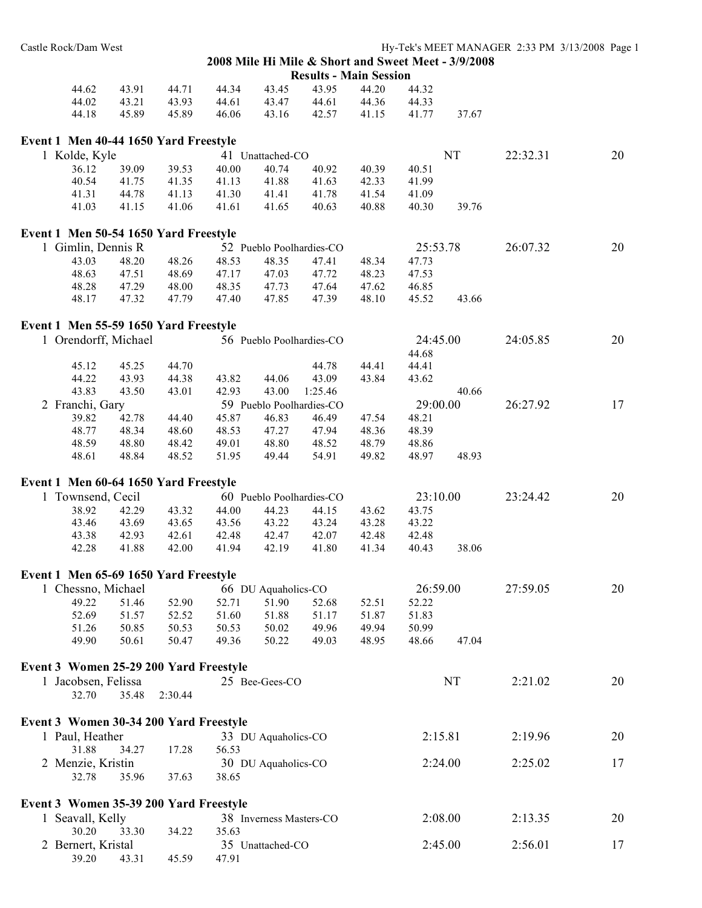|                                        |                |                |                |                          | 2008 Mile Hi Mile & Short and Sweet Meet - 3/9/2008 |                |                |       |          |    |
|----------------------------------------|----------------|----------------|----------------|--------------------------|-----------------------------------------------------|----------------|----------------|-------|----------|----|
|                                        |                |                |                |                          | <b>Results - Main Session</b>                       |                |                |       |          |    |
| 44.62                                  | 43.91          | 44.71          | 44.34          | 43.45                    | 43.95                                               | 44.20          | 44.32          |       |          |    |
| 44.02                                  | 43.21          | 43.93          | 44.61          | 43.47                    | 44.61                                               | 44.36          | 44.33          |       |          |    |
| 44.18                                  | 45.89          | 45.89          | 46.06          | 43.16                    | 42.57                                               | 41.15          | 41.77          | 37.67 |          |    |
| Event 1 Men 40-44 1650 Yard Freestyle  |                |                |                |                          |                                                     |                |                |       |          |    |
| 1 Kolde, Kyle                          |                |                |                | 41 Unattached-CO         |                                                     |                |                | NT    | 22:32.31 | 20 |
| 36.12                                  | 39.09          | 39.53          | 40.00          | 40.74                    | 40.92                                               | 40.39          | 40.51          |       |          |    |
| 40.54                                  | 41.75          | 41.35          | 41.13          | 41.88                    | 41.63                                               | 42.33          | 41.99          |       |          |    |
| 41.31                                  | 44.78          | 41.13          | 41.30          | 41.41                    | 41.78                                               | 41.54          | 41.09          |       |          |    |
| 41.03                                  | 41.15          | 41.06          | 41.61          | 41.65                    | 40.63                                               | 40.88          | 40.30          | 39.76 |          |    |
| Event 1 Men 50-54 1650 Yard Freestyle  |                |                |                |                          |                                                     |                |                |       |          |    |
| 1 Gimlin, Dennis R                     |                |                |                | 52 Pueblo Poolhardies-CO |                                                     |                | 25:53.78       |       | 26:07.32 | 20 |
| 43.03                                  | 48.20          | 48.26          | 48.53          | 48.35                    | 47.41                                               | 48.34          | 47.73          |       |          |    |
| 48.63                                  | 47.51          | 48.69          | 47.17          | 47.03                    | 47.72                                               | 48.23          | 47.53          |       |          |    |
| 48.28                                  | 47.29          | 48.00          | 48.35          | 47.73                    | 47.64                                               | 47.62          | 46.85          |       |          |    |
| 48.17                                  | 47.32          | 47.79          | 47.40          | 47.85                    | 47.39                                               | 48.10          | 45.52          | 43.66 |          |    |
| Event 1 Men 55-59 1650 Yard Freestyle  |                |                |                |                          |                                                     |                |                |       |          |    |
| 1 Orendorff, Michael                   |                |                |                | 56 Pueblo Poolhardies-CO |                                                     |                | 24:45.00       |       | 24:05.85 | 20 |
|                                        |                |                |                |                          |                                                     |                | 44.68          |       |          |    |
| 45.12                                  | 45.25          | 44.70          |                |                          | 44.78                                               | 44.41          | 44.41          |       |          |    |
| 44.22                                  | 43.93          | 44.38          | 43.82          | 44.06                    | 43.09                                               | 43.84          | 43.62          |       |          |    |
| 43.83                                  | 43.50          | 43.01          | 42.93          | 43.00                    | 1:25.46                                             |                |                | 40.66 |          |    |
| 2 Franchi, Gary                        |                |                |                | 59 Pueblo Poolhardies-CO |                                                     |                | 29:00.00       |       | 26:27.92 | 17 |
| 39.82                                  | 42.78          | 44.40          | 45.87          | 46.83                    | 46.49                                               | 47.54          | 48.21          |       |          |    |
| 48.77                                  | 48.34          | 48.60          | 48.53          | 47.27                    | 47.94                                               | 48.36          | 48.39          |       |          |    |
| 48.59<br>48.61                         | 48.80<br>48.84 | 48.42<br>48.52 | 49.01<br>51.95 | 48.80<br>49.44           | 48.52<br>54.91                                      | 48.79<br>49.82 | 48.86<br>48.97 | 48.93 |          |    |
| Event 1 Men 60-64 1650 Yard Freestyle  |                |                |                |                          |                                                     |                |                |       |          |    |
| 1 Townsend, Cecil                      |                |                |                | 60 Pueblo Poolhardies-CO |                                                     |                | 23:10.00       |       | 23:24.42 | 20 |
|                                        |                |                |                |                          |                                                     |                |                |       |          |    |
| 38.92                                  | 42.29          | 43.32          | 44.00          | 44.23                    | 44.15                                               | 43.62          | 43.75<br>43.22 |       |          |    |
| 43.46                                  | 43.69<br>42.93 | 43.65<br>42.61 | 43.56<br>42.48 | 43.22<br>42.47           | 43.24<br>42.07                                      | 43.28<br>42.48 | 42.48          |       |          |    |
| 43.38<br>42.28                         | 41.88          | 42.00          | 41.94          | 42.19                    | 41.80                                               | 41.34          | 40.43          | 38.06 |          |    |
| Event 1 Men 65-69 1650 Yard Freestyle  |                |                |                |                          |                                                     |                |                |       |          |    |
| 1 Chessno, Michael                     |                |                |                | 66 DU Aquaholics-CO      |                                                     |                | 26:59.00       |       | 27:59.05 | 20 |
| 49.22                                  | 51.46          | 52.90          | 52.71          | 51.90                    | 52.68                                               | 52.51          | 52.22          |       |          |    |
| 52.69                                  | 51.57          | 52.52          | 51.60          | 51.88                    | 51.17                                               | 51.87          | 51.83          |       |          |    |
| 51.26                                  | 50.85          | 50.53          | 50.53          | 50.02                    | 49.96                                               | 49.94          | 50.99          |       |          |    |
| 49.90                                  | 50.61          | 50.47          | 49.36          | 50.22                    | 49.03                                               | 48.95          | 48.66          | 47.04 |          |    |
| Event 3 Women 25-29 200 Yard Freestyle |                |                |                |                          |                                                     |                |                |       |          |    |
| 1 Jacobsen, Felissa                    |                |                |                | 25 Bee-Gees-CO           |                                                     |                |                | NT    | 2:21.02  | 20 |
| 32.70                                  | 35.48          | 2:30.44        |                |                          |                                                     |                |                |       |          |    |
| Event 3 Women 30-34 200 Yard Freestyle |                |                |                |                          |                                                     |                |                |       |          |    |
| 1 Paul, Heather                        |                |                |                | 33 DU Aquaholics-CO      |                                                     |                | 2:15.81        |       | 2:19.96  | 20 |
| 31.88                                  | 34.27          | 17.28          | 56.53          |                          |                                                     |                |                |       |          |    |
| 2 Menzie, Kristin                      |                |                |                | 30 DU Aquaholics-CO      |                                                     |                | 2:24.00        |       | 2:25.02  | 17 |
| 32.78                                  | 35.96          | 37.63          | 38.65          |                          |                                                     |                |                |       |          |    |
| Event 3 Women 35-39 200 Yard Freestyle |                |                |                |                          |                                                     |                |                |       |          |    |
| 1 Seavall, Kelly                       |                |                |                | 38 Inverness Masters-CO  |                                                     |                | 2:08.00        |       | 2:13.35  | 20 |
| 30.20                                  | 33.30          | 34.22          | 35.63          |                          |                                                     |                |                |       |          |    |
| 2 Bernert, Kristal                     |                |                |                | 35 Unattached-CO         |                                                     |                | 2:45.00        |       | 2:56.01  | 17 |
| 39.20                                  | 43.31          | 45.59          | 47.91          |                          |                                                     |                |                |       |          |    |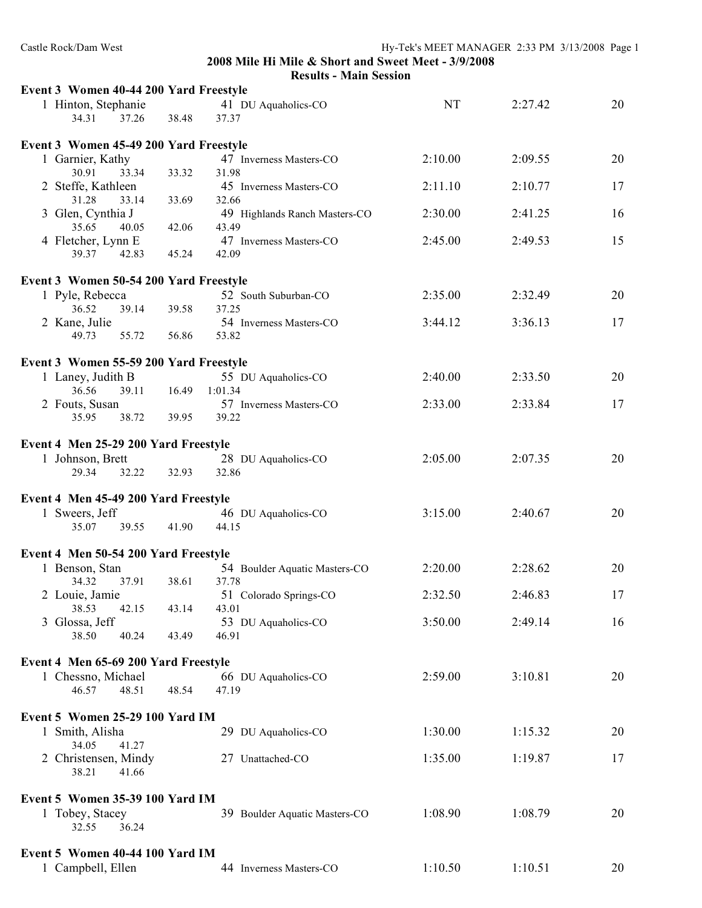| Castle Rock/Dam West                   |       | 2008 Mile Hi Mile & Short and Sweet Meet - 3/9/2008<br><b>Results - Main Session</b> | Hy-Tek's MEET MANAGER 2:33 PM 3/13/2008 Page 1 |         |    |
|----------------------------------------|-------|--------------------------------------------------------------------------------------|------------------------------------------------|---------|----|
|                                        |       |                                                                                      |                                                |         |    |
| Event 3 Women 40-44 200 Yard Freestyle |       |                                                                                      | <b>NT</b>                                      |         | 20 |
| 1 Hinton, Stephanie<br>34.31<br>37.26  | 38.48 | 41 DU Aquaholics-CO<br>37.37                                                         |                                                | 2:27.42 |    |
| Event 3 Women 45-49 200 Yard Freestyle |       |                                                                                      |                                                |         |    |
| 1 Garnier, Kathy                       |       | 47 Inverness Masters-CO                                                              | 2:10.00                                        | 2:09.55 | 20 |
| 30.91<br>33.34                         | 33.32 | 31.98                                                                                |                                                |         |    |
| 2 Steffe, Kathleen                     |       | 45 Inverness Masters-CO                                                              | 2:11.10                                        | 2:10.77 | 17 |
| 31.28<br>33.14                         | 33.69 | 32.66                                                                                |                                                |         |    |
| 3 Glen, Cynthia J                      |       | 49 Highlands Ranch Masters-CO                                                        | 2:30.00                                        | 2:41.25 | 16 |
| 35.65<br>40.05                         | 42.06 | 43.49                                                                                |                                                |         |    |
| 4 Fletcher, Lynn E                     |       | 47 Inverness Masters-CO                                                              | 2:45.00                                        | 2:49.53 | 15 |
| 39.37<br>42.83                         | 45.24 | 42.09                                                                                |                                                |         |    |
| Event 3 Women 50-54 200 Yard Freestyle |       |                                                                                      |                                                |         |    |
| 1 Pyle, Rebecca                        |       | 52 South Suburban-CO                                                                 | 2:35.00                                        | 2:32.49 | 20 |
| 36.52<br>39.14                         | 39.58 | 37.25                                                                                |                                                |         |    |
| 2 Kane, Julie                          |       | 54 Inverness Masters-CO                                                              | 3:44.12                                        | 3:36.13 | 17 |
| 49.73<br>55.72                         | 56.86 | 53.82                                                                                |                                                |         |    |
|                                        |       |                                                                                      |                                                |         |    |
| Event 3 Women 55-59 200 Yard Freestyle |       |                                                                                      |                                                |         |    |
| 1 Laney, Judith B                      |       | 55 DU Aquaholics-CO                                                                  | 2:40.00                                        | 2:33.50 | 20 |
| 36.56<br>39.11                         | 16.49 | 1:01.34                                                                              |                                                |         |    |
| 2 Fouts, Susan                         |       | 57 Inverness Masters-CO                                                              | 2:33.00                                        | 2:33.84 | 17 |
| 35.95<br>38.72                         | 39.95 | 39.22                                                                                |                                                |         |    |
|                                        |       |                                                                                      |                                                |         |    |
| Event 4 Men 25-29 200 Yard Freestyle   |       |                                                                                      |                                                |         |    |
| 1 Johnson, Brett                       |       | 28 DU Aquaholics-CO                                                                  | 2:05.00                                        | 2:07.35 | 20 |
| 32.22<br>29.34                         | 32.93 | 32.86                                                                                |                                                |         |    |
|                                        |       |                                                                                      |                                                |         |    |
| Event 4 Men 45-49 200 Yard Freestyle   |       |                                                                                      |                                                |         |    |
| 1 Sweers, Jeff                         |       | 46 DU Aquaholics-CO                                                                  | 3:15.00                                        | 2:40.67 | 20 |
| 35.07<br>39.55                         | 41.90 | 44.15                                                                                |                                                |         |    |
|                                        |       |                                                                                      |                                                |         |    |
| Event 4 Men 50-54 200 Yard Freestyle   |       |                                                                                      |                                                |         |    |
| 1 Benson, Stan                         |       | 54 Boulder Aquatic Masters-CO                                                        | 2:20.00                                        | 2:28.62 | 20 |
| 34.32<br>37.91                         | 38.61 | 37.78                                                                                |                                                |         |    |
| 2 Louie, Jamie                         |       | 51 Colorado Springs-CO                                                               | 2:32.50                                        | 2:46.83 | 17 |
| 38.53<br>42.15                         | 43.14 | 43.01                                                                                |                                                |         |    |
| 3 Glossa, Jeff                         |       | 53 DU Aquaholics-CO                                                                  | 3:50.00                                        | 2:49.14 | 16 |
| 38.50<br>40.24                         | 43.49 | 46.91                                                                                |                                                |         |    |
|                                        |       |                                                                                      |                                                |         |    |
| Event 4 Men 65-69 200 Yard Freestyle   |       |                                                                                      |                                                |         |    |
| 1 Chessno, Michael                     |       | 66 DU Aquaholics-CO                                                                  | 2:59.00                                        | 3:10.81 | 20 |
| 46.57<br>48.51                         | 48.54 | 47.19                                                                                |                                                |         |    |
|                                        |       |                                                                                      |                                                |         |    |
| Event 5 Women 25-29 100 Yard IM        |       |                                                                                      |                                                |         |    |
| 1 Smith, Alisha                        |       | 29 DU Aquaholics-CO                                                                  | 1:30.00                                        | 1:15.32 | 20 |
| 34.05<br>41.27                         |       |                                                                                      |                                                |         |    |
| 2 Christensen, Mindy                   |       | 27 Unattached-CO                                                                     | 1:35.00                                        | 1:19.87 | 17 |
| 38.21<br>41.66                         |       |                                                                                      |                                                |         |    |
|                                        |       |                                                                                      |                                                |         |    |
| Event 5 Women 35-39 100 Yard IM        |       |                                                                                      |                                                |         |    |
| 1 Tobey, Stacey                        |       | 39 Boulder Aquatic Masters-CO                                                        | 1:08.90                                        | 1:08.79 | 20 |
| 32.55<br>36.24                         |       |                                                                                      |                                                |         |    |
|                                        |       |                                                                                      |                                                |         |    |
| Event 5 Women 40-44 100 Yard IM        |       |                                                                                      |                                                |         |    |
| 1 Campbell, Ellen                      |       | 44 Inverness Masters-CO                                                              | 1:10.50                                        | 1:10.51 | 20 |
|                                        |       |                                                                                      |                                                |         |    |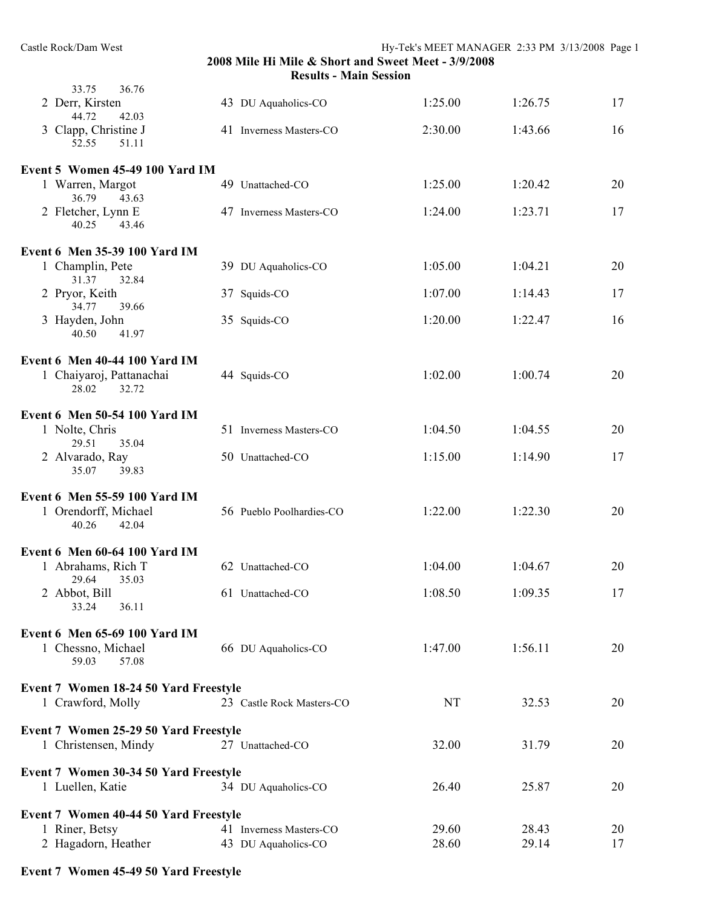**2008 Mile Hi Mile & Short and Sweet Meet - 3/9/2008**

|  | <b>Results - Main Session</b> |  |  |
|--|-------------------------------|--|--|
|--|-------------------------------|--|--|

| 33.75<br>36.76                                           |                           |         |         |    |
|----------------------------------------------------------|---------------------------|---------|---------|----|
| 2 Derr, Kirsten                                          | 43 DU Aquaholics-CO       | 1:25.00 | 1:26.75 | 17 |
| 44.72<br>42.03<br>3 Clapp, Christine J<br>52.55<br>51.11 | 41 Inverness Masters-CO   | 2:30.00 | 1:43.66 | 16 |
|                                                          |                           |         |         |    |
| Event 5 Women 45-49 100 Yard IM<br>1 Warren, Margot      | 49 Unattached-CO          | 1:25.00 | 1:20.42 | 20 |
| 36.79<br>43.63                                           |                           |         |         |    |
| 2 Fletcher, Lynn E<br>40.25<br>43.46                     | 47 Inverness Masters-CO   | 1:24.00 | 1:23.71 | 17 |
| Event 6 Men 35-39 100 Yard IM                            |                           |         |         |    |
| 1 Champlin, Pete                                         | 39 DU Aquaholics-CO       | 1:05.00 | 1:04.21 | 20 |
| 32.84<br>31.37<br>2 Pryor, Keith                         | 37 Squids-CO              | 1:07.00 | 1:14.43 | 17 |
| 39.66<br>34.77                                           |                           | 1:20.00 | 1:22.47 | 16 |
| 3 Hayden, John<br>40.50<br>41.97                         | 35 Squids-CO              |         |         |    |
| Event 6 Men 40-44 100 Yard IM                            |                           |         |         |    |
| 1 Chaiyaroj, Pattanachai<br>28.02<br>32.72               | 44 Squids-CO              | 1:02.00 | 1:00.74 | 20 |
| <b>Event 6 Men 50-54 100 Yard IM</b>                     |                           |         |         |    |
| 1 Nolte, Chris                                           | 51 Inverness Masters-CO   | 1:04.50 | 1:04.55 | 20 |
| 29.51<br>35.04<br>2 Alvarado, Ray                        | 50 Unattached-CO          | 1:15.00 | 1:14.90 | 17 |
| 39.83<br>35.07                                           |                           |         |         |    |
| Event 6 Men 55-59 100 Yard IM                            |                           |         |         |    |
| 1 Orendorff, Michael<br>40.26<br>42.04                   | 56 Pueblo Poolhardies-CO  | 1:22.00 | 1:22.30 | 20 |
| Event 6 Men 60-64 100 Yard IM                            |                           |         |         |    |
| 1 Abrahams, Rich T                                       | 62 Unattached-CO          | 1:04.00 | 1:04.67 | 20 |
| 29.64<br>35.03<br>2 Abbot, Bill                          | 61 Unattached-CO          | 1:08.50 | 1:09.35 | 17 |
| 33.24<br>36.11                                           |                           |         |         |    |
| Event 6 Men 65-69 100 Yard IM                            |                           |         |         |    |
| 1 Chessno, Michael<br>59.03<br>57.08                     | 66 DU Aquaholics-CO       | 1:47.00 | 1:56.11 | 20 |
| Event 7 Women 18-24 50 Yard Freestyle                    |                           |         |         |    |
| 1 Crawford, Molly                                        | 23 Castle Rock Masters-CO | NT      | 32.53   | 20 |
| Event 7 Women 25-29 50 Yard Freestyle                    |                           |         |         |    |
| 1 Christensen, Mindy                                     | 27 Unattached-CO          | 32.00   | 31.79   | 20 |
| Event 7 Women 30-34 50 Yard Freestyle                    |                           |         |         |    |
| 1 Luellen, Katie                                         | 34 DU Aquaholics-CO       | 26.40   | 25.87   | 20 |
| Event 7 Women 40-44 50 Yard Freestyle                    |                           |         |         |    |
| 1 Riner, Betsy                                           | 41 Inverness Masters-CO   | 29.60   | 28.43   | 20 |
| 2 Hagadorn, Heather                                      | 43 DU Aquaholics-CO       | 28.60   | 29.14   | 17 |

**Event 7 Women 45-49 50 Yard Freestyle**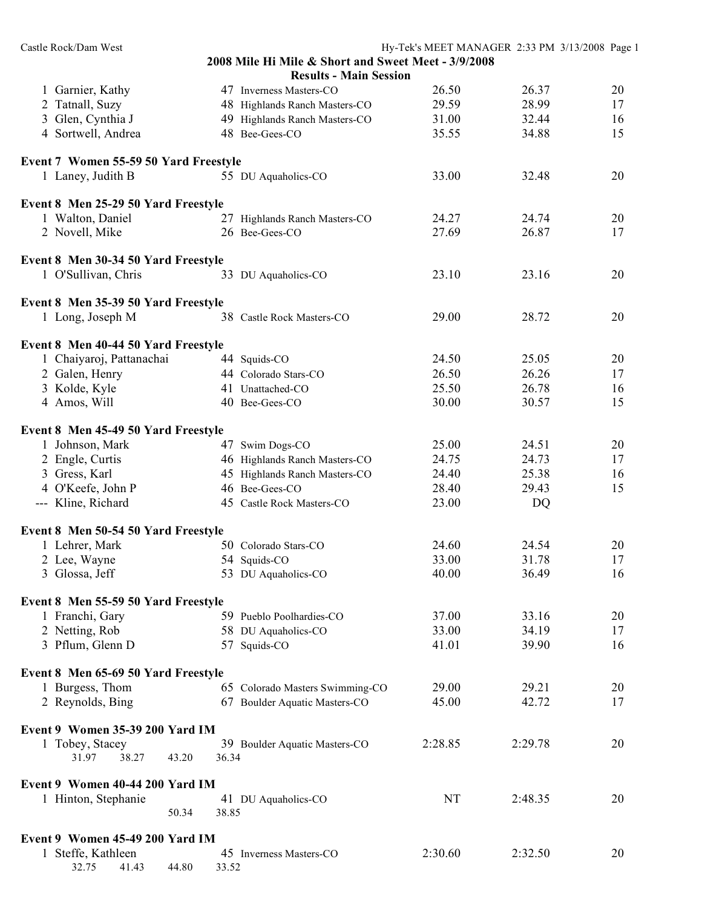| Castle Rock/Dam West                  |                |                                                     | Hy-Tek's MEET MANAGER 2:33 PM 3/13/2008 Page 1 |         |    |
|---------------------------------------|----------------|-----------------------------------------------------|------------------------------------------------|---------|----|
|                                       |                | 2008 Mile Hi Mile & Short and Sweet Meet - 3/9/2008 |                                                |         |    |
|                                       |                | <b>Results - Main Session</b>                       |                                                |         |    |
| 1 Garnier, Kathy                      |                | 47 Inverness Masters-CO                             | 26.50                                          | 26.37   | 20 |
| 2 Tatnall, Suzy                       |                | 48 Highlands Ranch Masters-CO                       | 29.59                                          | 28.99   | 17 |
| 3 Glen, Cynthia J                     |                | 49 Highlands Ranch Masters-CO                       | 31.00                                          | 32.44   | 16 |
| 4 Sortwell, Andrea                    |                | 48 Bee-Gees-CO                                      | 35.55                                          | 34.88   | 15 |
| Event 7 Women 55-59 50 Yard Freestyle |                |                                                     |                                                |         |    |
| 1 Laney, Judith B                     |                | 55 DU Aquaholics-CO                                 | 33.00                                          | 32.48   | 20 |
|                                       |                |                                                     |                                                |         |    |
| Event 8 Men 25-29 50 Yard Freestyle   |                |                                                     |                                                |         |    |
| 1 Walton, Daniel                      |                | 27 Highlands Ranch Masters-CO                       | 24.27                                          | 24.74   | 20 |
| 2 Novell, Mike                        |                | 26 Bee-Gees-CO                                      | 27.69                                          | 26.87   | 17 |
| Event 8 Men 30-34 50 Yard Freestyle   |                |                                                     |                                                |         |    |
| 1 O'Sullivan, Chris                   |                | 33 DU Aquaholics-CO                                 | 23.10                                          | 23.16   | 20 |
|                                       |                |                                                     |                                                |         |    |
| Event 8 Men 35-39 50 Yard Freestyle   |                |                                                     |                                                |         |    |
| 1 Long, Joseph M                      |                | 38 Castle Rock Masters-CO                           | 29.00                                          | 28.72   | 20 |
| Event 8 Men 40-44 50 Yard Freestyle   |                |                                                     |                                                |         |    |
| 1 Chaiyaroj, Pattanachai              |                | 44 Squids-CO                                        | 24.50                                          | 25.05   | 20 |
| 2 Galen, Henry                        |                | 44 Colorado Stars-CO                                | 26.50                                          | 26.26   | 17 |
| 3 Kolde, Kyle                         |                | 41 Unattached-CO                                    | 25.50                                          | 26.78   | 16 |
| 4 Amos, Will                          |                | 40 Bee-Gees-CO                                      | 30.00                                          | 30.57   | 15 |
|                                       |                |                                                     |                                                |         |    |
| Event 8 Men 45-49 50 Yard Freestyle   |                |                                                     |                                                |         |    |
| 1 Johnson, Mark                       |                | 47 Swim Dogs-CO                                     | 25.00                                          | 24.51   | 20 |
| 2 Engle, Curtis                       |                | 46 Highlands Ranch Masters-CO                       | 24.75                                          | 24.73   | 17 |
| 3 Gress, Karl                         |                | 45 Highlands Ranch Masters-CO                       | 24.40                                          | 25.38   | 16 |
| 4 O'Keefe, John P                     |                | 46 Bee-Gees-CO                                      | 28.40                                          | 29.43   | 15 |
| --- Kline, Richard                    |                | 45 Castle Rock Masters-CO                           | 23.00                                          | DQ      |    |
| Event 8 Men 50-54 50 Yard Freestyle   |                |                                                     |                                                |         |    |
| 1 Lehrer, Mark                        |                | 50 Colorado Stars-CO                                | 24.60                                          | 24.54   | 20 |
| 2 Lee, Wayne                          |                | 54 Squids-CO                                        | 33.00                                          | 31.78   | 17 |
| 3 Glossa, Jeff                        |                | 53 DU Aquaholics-CO                                 | 40.00                                          | 36.49   | 16 |
|                                       |                |                                                     |                                                |         |    |
| Event 8 Men 55-59 50 Yard Freestyle   |                |                                                     |                                                |         |    |
| 1 Franchi, Gary                       |                | 59 Pueblo Poolhardies-CO                            | 37.00                                          | 33.16   | 20 |
| 2 Netting, Rob                        |                | 58 DU Aquaholics-CO                                 | 33.00                                          | 34.19   | 17 |
| 3 Pflum, Glenn D                      |                | 57 Squids-CO                                        | 41.01                                          | 39.90   | 16 |
| Event 8 Men 65-69 50 Yard Freestyle   |                |                                                     |                                                |         |    |
| 1 Burgess, Thom                       |                | 65 Colorado Masters Swimming-CO                     | 29.00                                          | 29.21   | 20 |
| 2 Reynolds, Bing                      |                | 67 Boulder Aquatic Masters-CO                       | 45.00                                          | 42.72   | 17 |
|                                       |                |                                                     |                                                |         |    |
| Event 9 Women 35-39 200 Yard IM       |                |                                                     |                                                |         |    |
| 1 Tobey, Stacey                       |                | 39 Boulder Aquatic Masters-CO                       | 2:28.85                                        | 2:29.78 | 20 |
| 31.97<br>38.27                        | 43.20<br>36.34 |                                                     |                                                |         |    |
| Event 9 Women 40-44 200 Yard IM       |                |                                                     |                                                |         |    |
| 1 Hinton, Stephanie                   |                | 41 DU Aquaholics-CO                                 | NT                                             | 2:48.35 | 20 |
|                                       | 50.34<br>38.85 |                                                     |                                                |         |    |
| Event 9 Women 45-49 200 Yard IM       |                |                                                     |                                                |         |    |
| 1 Steffe, Kathleen                    |                | 45 Inverness Masters-CO                             | 2:30.60                                        | 2:32.50 | 20 |
| 32.75<br>41.43                        | 44.80<br>33.52 |                                                     |                                                |         |    |
|                                       |                |                                                     |                                                |         |    |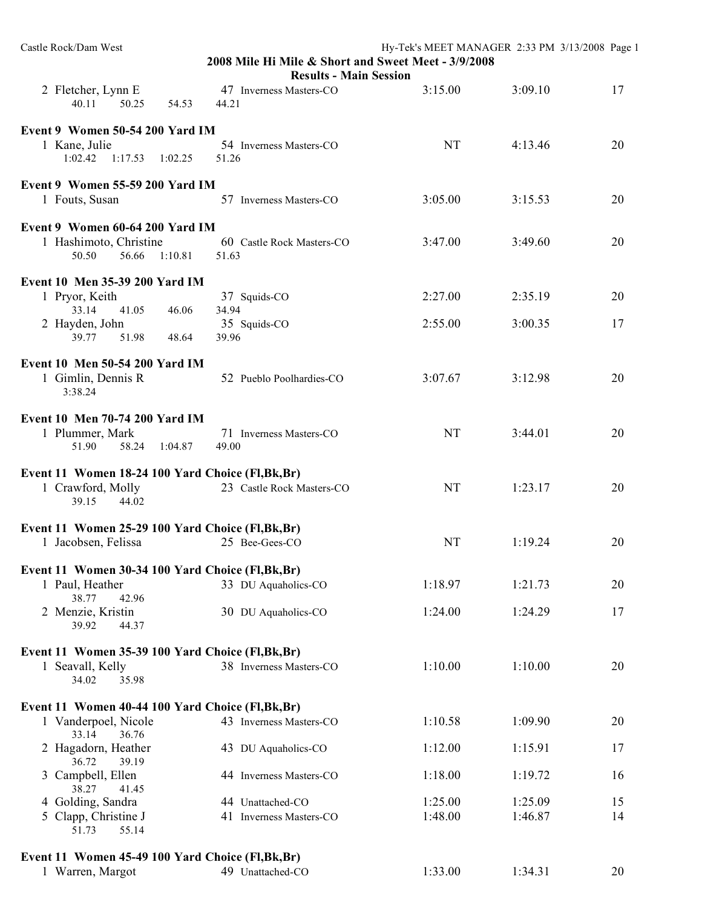| Castle Rock/Dam West                                            | 2008 Mile Hi Mile & Short and Sweet Meet - 3/9/2008<br><b>Results - Main Session</b> | Hy-Tek's MEET MANAGER 2:33 PM 3/13/2008 Page 1 |         |    |
|-----------------------------------------------------------------|--------------------------------------------------------------------------------------|------------------------------------------------|---------|----|
| 2 Fletcher, Lynn E<br>40.11<br>50.25<br>54.53                   | 47 Inverness Masters-CO<br>44.21                                                     | 3:15.00                                        | 3:09.10 | 17 |
| Event 9 Women 50-54 200 Yard IM                                 |                                                                                      |                                                |         |    |
| 1 Kane, Julie<br>$1:02.42$ $1:17.53$ $1:02.25$                  | 54 Inverness Masters-CO<br>51.26                                                     | <b>NT</b>                                      | 4:13.46 | 20 |
| Event 9 Women 55-59 200 Yard IM                                 |                                                                                      |                                                |         |    |
| 1 Fouts, Susan                                                  | 57 Inverness Masters-CO                                                              | 3:05.00                                        | 3:15.53 | 20 |
| Event 9 Women 60-64 200 Yard IM                                 |                                                                                      |                                                |         |    |
| 1 Hashimoto, Christine<br>50.50<br>56.66 1:10.81                | 60 Castle Rock Masters-CO<br>51.63                                                   | 3:47.00                                        | 3:49.60 | 20 |
| Event 10 Men 35-39 200 Yard IM                                  |                                                                                      |                                                |         |    |
| 1 Pryor, Keith                                                  | 37 Squids-CO                                                                         | 2:27.00                                        | 2:35.19 | 20 |
| 33.14<br>41.05<br>46.06<br>2 Hayden, John                       | 34.94<br>35 Squids-CO                                                                | 2:55.00                                        | 3:00.35 | 17 |
| 39.77<br>51.98<br>48.64                                         | 39.96                                                                                |                                                |         |    |
| Event 10 Men 50-54 200 Yard IM<br>1 Gimlin, Dennis R<br>3:38.24 | 52 Pueblo Poolhardies-CO                                                             | 3:07.67                                        | 3:12.98 | 20 |
| Event 10 Men 70-74 200 Yard IM                                  |                                                                                      |                                                |         |    |
| 1 Plummer, Mark                                                 | 71 Inverness Masters-CO                                                              | <b>NT</b>                                      | 3:44.01 | 20 |
| 58.24 1:04.87<br>51.90                                          | 49.00                                                                                |                                                |         |    |
| Event 11 Women 18-24 100 Yard Choice (Fl, Bk, Br)               |                                                                                      |                                                |         |    |
| 1 Crawford, Molly<br>39.15<br>44.02                             | 23 Castle Rock Masters-CO                                                            | <b>NT</b>                                      | 1:23.17 | 20 |
| Event 11 Women 25-29 100 Yard Choice (Fl, Bk, Br)               |                                                                                      |                                                |         |    |
| 1 Jacobsen, Felissa                                             | 25 Bee-Gees-CO                                                                       | <b>NT</b>                                      | 1:19.24 | 20 |
| Event 11 Women 30-34 100 Yard Choice (Fl, Bk, Br)               |                                                                                      |                                                |         |    |
| 1 Paul, Heather                                                 | 33 DU Aquaholics-CO                                                                  | 1:18.97                                        | 1:21.73 | 20 |
| 38.77<br>42.96<br>2 Menzie, Kristin                             | 30 DU Aquaholics-CO                                                                  | 1:24.00                                        | 1:24.29 | 17 |
| 39.92<br>44.37                                                  |                                                                                      |                                                |         |    |
| Event 11 Women 35-39 100 Yard Choice (Fl, Bk, Br)               |                                                                                      |                                                |         |    |
| 1 Seavall, Kelly<br>35.98<br>34.02                              | 38 Inverness Masters-CO                                                              | 1:10.00                                        | 1:10.00 | 20 |
| Event 11 Women 40-44 100 Yard Choice (Fl, Bk, Br)               |                                                                                      |                                                |         |    |
| 1 Vanderpoel, Nicole<br>36.76<br>33.14                          | 43 Inverness Masters-CO                                                              | 1:10.58                                        | 1:09.90 | 20 |
| 2 Hagadorn, Heather<br>36.72<br>39.19                           | 43 DU Aquaholics-CO                                                                  | 1:12.00                                        | 1:15.91 | 17 |
| 3 Campbell, Ellen<br>38.27<br>41.45                             | 44 Inverness Masters-CO                                                              | 1:18.00                                        | 1:19.72 | 16 |
| 4 Golding, Sandra                                               | 44 Unattached-CO                                                                     | 1:25.00                                        | 1:25.09 | 15 |
| 5 Clapp, Christine J<br>55.14<br>51.73                          | 41 Inverness Masters-CO                                                              | 1:48.00                                        | 1:46.87 | 14 |
| Event 11 Women 45-49 100 Yard Choice (Fl, Bk, Br)               |                                                                                      |                                                |         |    |
| 1 Warren, Margot                                                | 49 Unattached-CO                                                                     | 1:33.00                                        | 1:34.31 | 20 |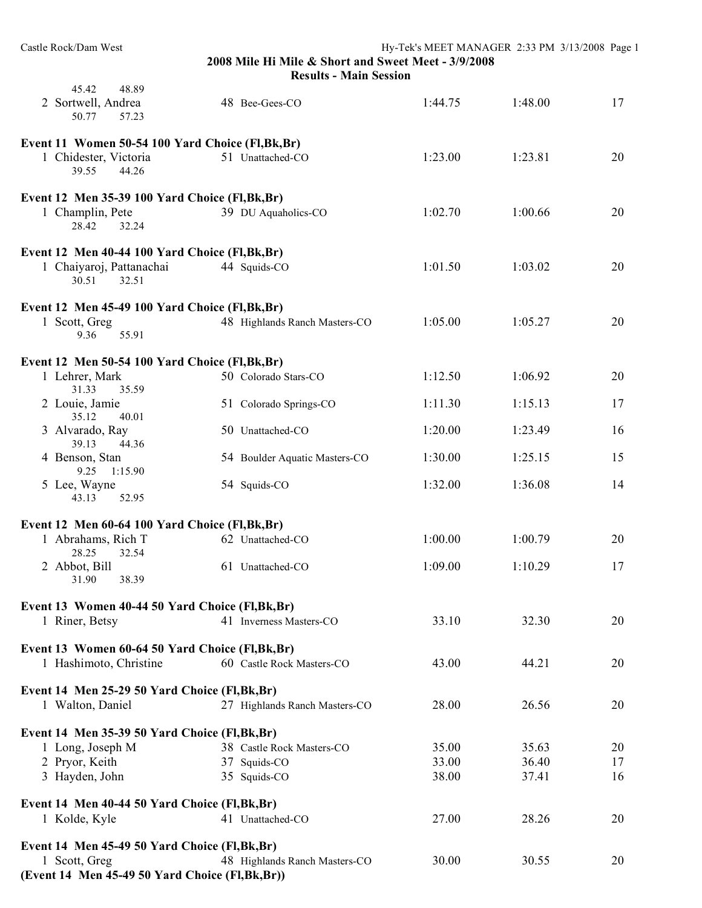| 2008 Mile Hi Mile & Short and Sweet Meet - 3/9/2008<br><b>Results - Main Session</b> |                               |         |         |    |  |  |  |  |
|--------------------------------------------------------------------------------------|-------------------------------|---------|---------|----|--|--|--|--|
| 45.42<br>48.89                                                                       |                               |         |         |    |  |  |  |  |
| 2 Sortwell, Andrea<br>50.77<br>57.23                                                 | 48 Bee-Gees-CO                | 1:44.75 | 1:48.00 | 17 |  |  |  |  |
| Event 11 Women 50-54 100 Yard Choice (Fl, Bk, Br)                                    |                               |         |         |    |  |  |  |  |
| 1 Chidester, Victoria                                                                | 51 Unattached-CO              | 1:23.00 | 1:23.81 | 20 |  |  |  |  |
| 39.55<br>44.26                                                                       |                               |         |         |    |  |  |  |  |
| Event 12 Men 35-39 100 Yard Choice (Fl, Bk, Br)                                      |                               |         |         |    |  |  |  |  |
| 1 Champlin, Pete                                                                     | 39 DU Aquaholics-CO           | 1:02.70 | 1:00.66 | 20 |  |  |  |  |
| 28.42<br>32.24                                                                       |                               |         |         |    |  |  |  |  |
| Event 12 Men 40-44 100 Yard Choice (Fl, Bk, Br)                                      |                               |         |         |    |  |  |  |  |
| 1 Chaiyaroj, Pattanachai                                                             | 44 Squids-CO                  | 1:01.50 | 1:03.02 | 20 |  |  |  |  |
| 30.51<br>32.51                                                                       |                               |         |         |    |  |  |  |  |
| Event 12 Men 45-49 100 Yard Choice (Fl, Bk, Br)                                      |                               |         |         |    |  |  |  |  |
| 1 Scott, Greg                                                                        | 48 Highlands Ranch Masters-CO | 1:05.00 | 1:05.27 | 20 |  |  |  |  |
| 9.36<br>55.91                                                                        |                               |         |         |    |  |  |  |  |
| Event 12 Men 50-54 100 Yard Choice (Fl, Bk, Br)                                      |                               |         |         |    |  |  |  |  |
| 1 Lehrer, Mark<br>35.59<br>31.33                                                     | 50 Colorado Stars-CO          | 1:12.50 | 1:06.92 | 20 |  |  |  |  |
| 2 Louie, Jamie                                                                       | 51 Colorado Springs-CO        | 1:11.30 | 1:15.13 | 17 |  |  |  |  |
| 35.12<br>40.01                                                                       |                               |         |         |    |  |  |  |  |
| 3 Alvarado, Ray                                                                      | 50 Unattached-CO              | 1:20.00 | 1:23.49 | 16 |  |  |  |  |
| 44.36<br>39.13<br>4 Benson, Stan                                                     | 54 Boulder Aquatic Masters-CO | 1:30.00 | 1:25.15 | 15 |  |  |  |  |
| 1:15.90<br>9.25                                                                      |                               |         |         |    |  |  |  |  |
| 5 Lee, Wayne<br>43.13<br>52.95                                                       | 54 Squids-CO                  | 1:32.00 | 1:36.08 | 14 |  |  |  |  |
| Event 12 Men 60-64 100 Yard Choice (Fl, Bk, Br)                                      |                               |         |         |    |  |  |  |  |
| 1 Abrahams, Rich T                                                                   | 62 Unattached-CO              | 1:00.00 | 1:00.79 | 20 |  |  |  |  |
| 28.25<br>32.54                                                                       |                               |         |         |    |  |  |  |  |
| 2 Abbot, Bill<br>31.90<br>38.39                                                      | 61 Unattached-CO              | 1:09.00 | 1:10.29 | 17 |  |  |  |  |
|                                                                                      |                               |         |         |    |  |  |  |  |
| Event 13 Women 40-44 50 Yard Choice (Fl, Bk, Br)                                     |                               |         |         |    |  |  |  |  |
| 1 Riner, Betsy                                                                       | 41 Inverness Masters-CO       | 33.10   | 32.30   | 20 |  |  |  |  |
| Event 13 Women 60-64 50 Yard Choice (Fl, Bk, Br)                                     |                               |         |         |    |  |  |  |  |
| 1 Hashimoto, Christine                                                               | 60 Castle Rock Masters-CO     | 43.00   | 44.21   | 20 |  |  |  |  |
| Event 14 Men 25-29 50 Yard Choice (Fl, Bk, Br)                                       |                               |         |         |    |  |  |  |  |
| 1 Walton, Daniel                                                                     | 27 Highlands Ranch Masters-CO | 28.00   | 26.56   | 20 |  |  |  |  |
| Event 14 Men 35-39 50 Yard Choice (Fl, Bk, Br)                                       |                               |         |         |    |  |  |  |  |
| 1 Long, Joseph M                                                                     | 38 Castle Rock Masters-CO     | 35.00   | 35.63   | 20 |  |  |  |  |
| 2 Pryor, Keith                                                                       | 37 Squids-CO                  | 33.00   | 36.40   | 17 |  |  |  |  |
| 3 Hayden, John                                                                       | 35 Squids-CO                  | 38.00   | 37.41   | 16 |  |  |  |  |
| Event 14 Men 40-44 50 Yard Choice (Fl, Bk, Br)                                       |                               |         |         |    |  |  |  |  |
| 1 Kolde, Kyle                                                                        | 41 Unattached-CO              | 27.00   | 28.26   | 20 |  |  |  |  |
|                                                                                      |                               |         |         |    |  |  |  |  |
| Event 14 Men 45-49 50 Yard Choice (Fl, Bk, Br)                                       |                               |         |         |    |  |  |  |  |
| 1 Scott, Greg<br>(Event 14 Men 45-49 50 Yard Choice (Fl, Bk, Br))                    | 48 Highlands Ranch Masters-CO | 30.00   | 30.55   | 20 |  |  |  |  |
|                                                                                      |                               |         |         |    |  |  |  |  |

Castle Rock/Dam West Hy-Tek's MEET MANAGER 2:33 PM 3/13/2008 Page 1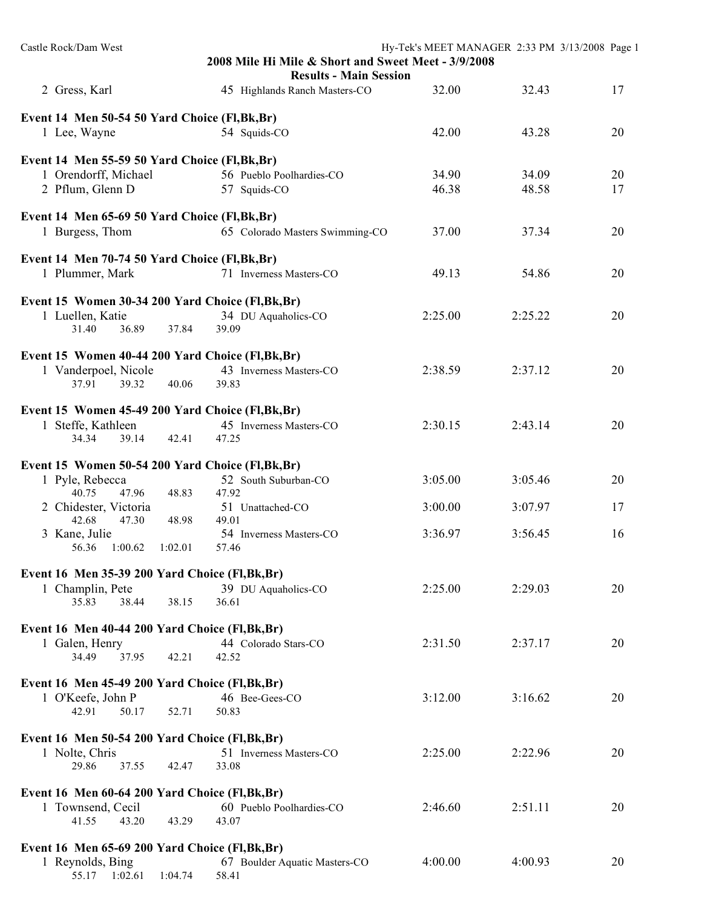| Castle Rock/Dam West                                                                                 | 2008 Mile Hi Mile & Short and Sweet Meet - 3/9/2008<br><b>Results - Main Session</b> |                | Hy-Tek's MEET MANAGER 2:33 PM 3/13/2008 Page 1 |          |
|------------------------------------------------------------------------------------------------------|--------------------------------------------------------------------------------------|----------------|------------------------------------------------|----------|
| 2 Gress, Karl                                                                                        | 45 Highlands Ranch Masters-CO                                                        | 32.00          | 32.43                                          | 17       |
| Event 14 Men 50-54 50 Yard Choice (Fl, Bk, Br)<br>1 Lee, Wayne                                       | 54 Squids-CO                                                                         | 42.00          | 43.28                                          | 20       |
| Event 14 Men 55-59 50 Yard Choice (Fl, Bk, Br)<br>1 Orendorff, Michael<br>2 Pflum, Glenn D           | 56 Pueblo Poolhardies-CO<br>57 Squids-CO                                             | 34.90<br>46.38 | 34.09<br>48.58                                 | 20<br>17 |
| Event 14 Men 65-69 50 Yard Choice (Fl, Bk, Br)<br>1 Burgess, Thom                                    | 65 Colorado Masters Swimming-CO                                                      | 37.00          | 37.34                                          | 20       |
| Event 14 Men 70-74 50 Yard Choice (Fl, Bk, Br)<br>1 Plummer, Mark                                    | 71 Inverness Masters-CO                                                              | 49.13          | 54.86                                          | 20       |
| Event 15 Women 30-34 200 Yard Choice (Fl, Bk, Br)<br>1 Luellen, Katie<br>36.89<br>31.40<br>37.84     | 34 DU Aquaholics-CO<br>39.09                                                         | 2:25.00        | 2:25.22                                        | 20       |
| Event 15 Women 40-44 200 Yard Choice (Fl, Bk, Br)<br>1 Vanderpoel, Nicole<br>37.91<br>39.32<br>40.06 | 43 Inverness Masters-CO<br>39.83                                                     | 2:38.59        | 2:37.12                                        | 20       |
| Event 15 Women 45-49 200 Yard Choice (Fl, Bk, Br)<br>1 Steffe, Kathleen<br>34.34<br>39.14<br>42.41   | 45 Inverness Masters-CO<br>47.25                                                     | 2:30.15        | 2:43.14                                        | 20       |
| Event 15 Women 50-54 200 Yard Choice (Fl, Bk, Br)<br>1 Pyle, Rebecca<br>40.75<br>47.96<br>48.83      | 52 South Suburban-CO<br>47.92                                                        | 3:05.00        | 3:05.46                                        | 20       |
| 2 Chidester, Victoria<br>47.30<br>42.68<br>48.98                                                     | 51 Unattached-CO<br>49.01                                                            | 3:00.00        | 3:07.97                                        | 17       |
| 3 Kane, Julie<br>56.36<br>1:00.62<br>1:02.01                                                         | 54 Inverness Masters-CO<br>57.46                                                     | 3:36.97        | 3:56.45                                        | 16       |
| Event 16 Men 35-39 200 Yard Choice (Fl, Bk, Br)<br>1 Champlin, Pete<br>35.83<br>38.15<br>38.44       | 39 DU Aquaholics-CO<br>36.61                                                         | 2:25.00        | 2:29.03                                        | 20       |
| Event 16 Men 40-44 200 Yard Choice (Fl, Bk, Br)<br>1 Galen, Henry<br>34.49<br>37.95<br>42.21         | 44 Colorado Stars-CO<br>42.52                                                        | 2:31.50        | 2:37.17                                        | 20       |
| Event 16 Men 45-49 200 Yard Choice (Fl, Bk, Br)<br>1 O'Keefe, John P<br>42.91<br>50.17<br>52.71      | 46 Bee-Gees-CO<br>50.83                                                              | 3:12.00        | 3:16.62                                        | 20       |
| Event 16 Men 50-54 200 Yard Choice (Fl, Bk, Br)<br>1 Nolte, Chris<br>29.86<br>37.55<br>42.47         | 51 Inverness Masters-CO<br>33.08                                                     | 2:25.00        | 2:22.96                                        | 20       |
| Event 16 Men 60-64 200 Yard Choice (Fl, Bk, Br)<br>1 Townsend, Cecil<br>41.55<br>43.20<br>43.29      | 60 Pueblo Poolhardies-CO<br>43.07                                                    | 2:46.60        | 2:51.11                                        | 20       |
| Event 16 Men 65-69 200 Yard Choice (Fl, Bk, Br)<br>1 Reynolds, Bing<br>55.17 1:02.61<br>1:04.74      | 67 Boulder Aquatic Masters-CO<br>58.41                                               | 4:00.00        | 4:00.93                                        | 20       |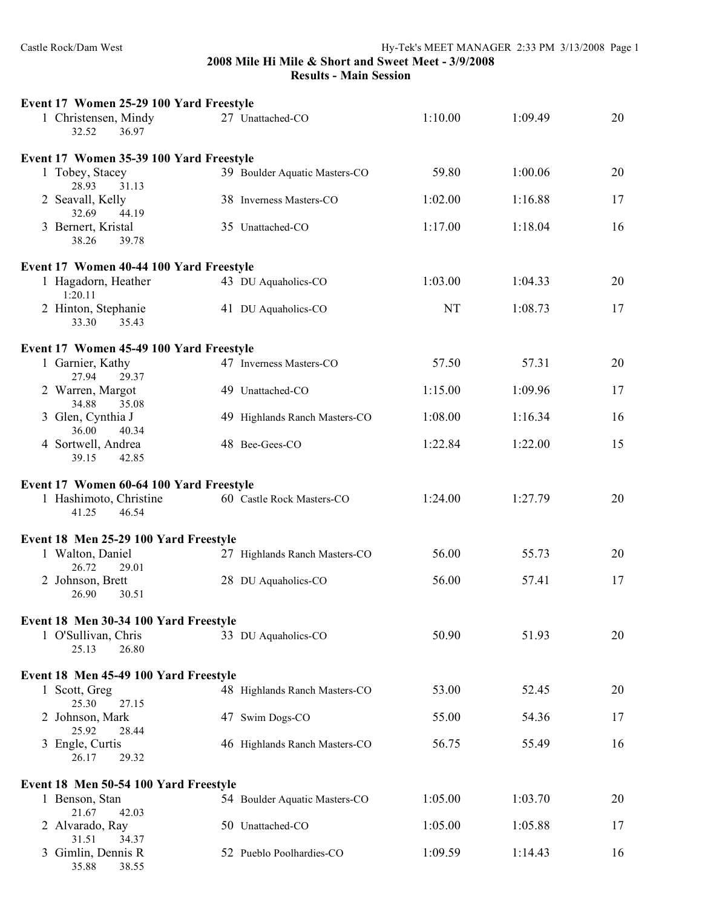**2008 Mile Hi Mile & Short and Sweet Meet - 3/9/2008**

**Results - Main Session**

| Event 17 Women 25-29 100 Yard Freestyle                                     |                               |         |         |    |
|-----------------------------------------------------------------------------|-------------------------------|---------|---------|----|
| 1 Christensen, Mindy<br>32.52<br>36.97                                      | 27 Unattached-CO              | 1:10.00 | 1:09.49 | 20 |
| Event 17 Women 35-39 100 Yard Freestyle                                     |                               |         |         |    |
| 1 Tobey, Stacey<br>28.93<br>31.13                                           | 39 Boulder Aquatic Masters-CO | 59.80   | 1:00.06 | 20 |
| 2 Seavall, Kelly<br>32.69<br>44.19                                          | 38 Inverness Masters-CO       | 1:02.00 | 1:16.88 | 17 |
| 3 Bernert, Kristal<br>38.26<br>39.78                                        | 35 Unattached-CO              | 1:17.00 | 1:18.04 | 16 |
| Event 17 Women 40-44 100 Yard Freestyle                                     |                               |         |         |    |
| 1 Hagadorn, Heather<br>1:20.11                                              | 43 DU Aquaholics-CO           | 1:03.00 | 1:04.33 | 20 |
| 2 Hinton, Stephanie<br>33.30<br>35.43                                       | 41 DU Aquaholics-CO           | NT      | 1:08.73 | 17 |
| Event 17 Women 45-49 100 Yard Freestyle                                     |                               |         |         |    |
| 1 Garnier, Kathy<br>27.94<br>29.37                                          | 47 Inverness Masters-CO       | 57.50   | 57.31   | 20 |
| 2 Warren, Margot<br>34.88<br>35.08                                          | 49 Unattached-CO              | 1:15.00 | 1:09.96 | 17 |
| 3 Glen, Cynthia J<br>36.00<br>40.34                                         | 49 Highlands Ranch Masters-CO | 1:08.00 | 1:16.34 | 16 |
| 4 Sortwell, Andrea<br>39.15<br>42.85                                        | 48 Bee-Gees-CO                | 1:22.84 | 1:22.00 | 15 |
| Event 17 Women 60-64 100 Yard Freestyle                                     |                               |         |         |    |
| 1 Hashimoto, Christine<br>41.25<br>46.54                                    | 60 Castle Rock Masters-CO     | 1:24.00 | 1:27.79 | 20 |
|                                                                             |                               |         |         |    |
| Event 18 Men 25-29 100 Yard Freestyle<br>1 Walton, Daniel<br>26.72<br>29.01 | 27 Highlands Ranch Masters-CO | 56.00   | 55.73   | 20 |
| 2 Johnson, Brett<br>26.90<br>30.51                                          | 28 DU Aquaholics-CO           | 56.00   | 57.41   | 17 |
|                                                                             |                               |         |         |    |
| Event 18 Men 30-34 100 Yard Freestyle                                       |                               | 50.90   | 51.93   | 20 |
| 1 O'Sullivan, Chris<br>25.13<br>26.80                                       | 33 DU Aquaholics-CO           |         |         |    |
| Event 18 Men 45-49 100 Yard Freestyle                                       |                               |         |         |    |
| 1 Scott, Greg<br>25.30<br>27.15                                             | 48 Highlands Ranch Masters-CO | 53.00   | 52.45   | 20 |
| 2 Johnson, Mark<br>25.92<br>28.44                                           | 47 Swim Dogs-CO               | 55.00   | 54.36   | 17 |
| 3 Engle, Curtis<br>26.17<br>29.32                                           | 46 Highlands Ranch Masters-CO | 56.75   | 55.49   | 16 |
| Event 18 Men 50-54 100 Yard Freestyle                                       |                               |         |         |    |
| 1 Benson, Stan<br>21.67<br>42.03                                            | 54 Boulder Aquatic Masters-CO | 1:05.00 | 1:03.70 | 20 |
| 2 Alvarado, Ray<br>31.51<br>34.37                                           | 50 Unattached-CO              | 1:05.00 | 1:05.88 | 17 |
| 3 Gimlin, Dennis R<br>35.88<br>38.55                                        | 52 Pueblo Poolhardies-CO      | 1:09.59 | 1:14.43 | 16 |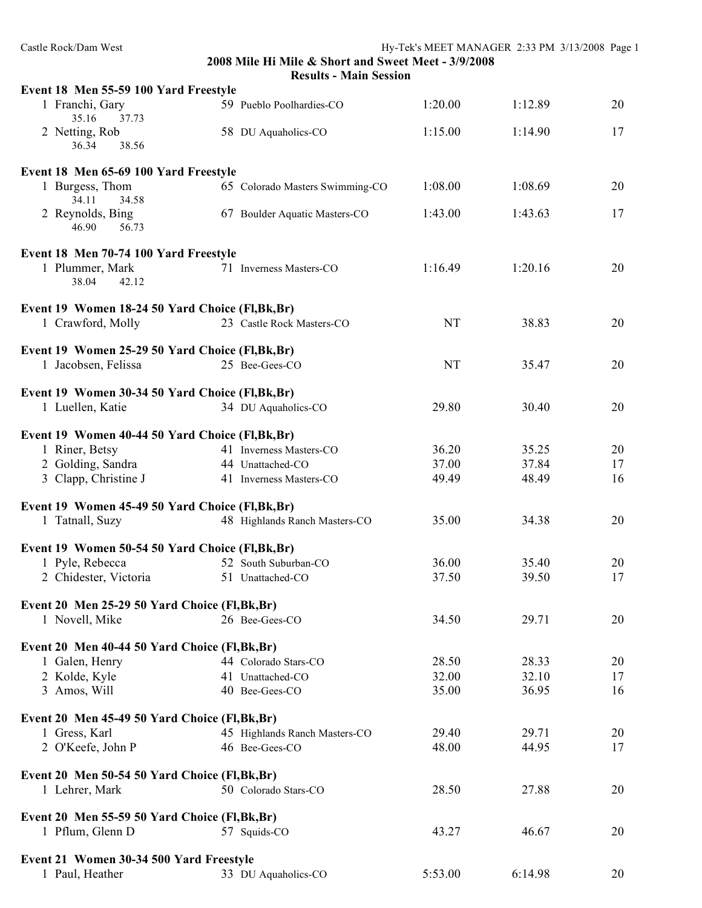| Castle Rock/Dam West                             |                                                     |           | Hy-Tek's MEET MANAGER 2:33 PM 3/13/2008 Page 1 |    |
|--------------------------------------------------|-----------------------------------------------------|-----------|------------------------------------------------|----|
|                                                  | 2008 Mile Hi Mile & Short and Sweet Meet - 3/9/2008 |           |                                                |    |
|                                                  | <b>Results - Main Session</b>                       |           |                                                |    |
| Event 18 Men 55-59 100 Yard Freestyle            |                                                     | 1:20.00   |                                                |    |
| 1 Franchi, Gary<br>35.16<br>37.73                | 59 Pueblo Poolhardies-CO                            |           | 1:12.89                                        | 20 |
| 2 Netting, Rob                                   | 58 DU Aquaholics-CO                                 | 1:15.00   | 1:14.90                                        | 17 |
| 38.56<br>36.34                                   |                                                     |           |                                                |    |
|                                                  |                                                     |           |                                                |    |
| Event 18 Men 65-69 100 Yard Freestyle            |                                                     |           |                                                |    |
| 1 Burgess, Thom                                  | 65 Colorado Masters Swimming-CO                     | 1:08.00   | 1:08.69                                        | 20 |
| 34.11<br>34.58                                   |                                                     |           |                                                |    |
| 2 Reynolds, Bing                                 | 67 Boulder Aquatic Masters-CO                       | 1:43.00   | 1:43.63                                        | 17 |
| 46.90<br>56.73                                   |                                                     |           |                                                |    |
|                                                  |                                                     |           |                                                |    |
| Event 18 Men 70-74 100 Yard Freestyle            | 71 Inverness Masters-CO                             | 1:16.49   | 1:20.16                                        | 20 |
| 1 Plummer, Mark<br>38.04<br>42.12                |                                                     |           |                                                |    |
|                                                  |                                                     |           |                                                |    |
| Event 19 Women 18-24 50 Yard Choice (Fl, Bk, Br) |                                                     |           |                                                |    |
| 1 Crawford, Molly                                | 23 Castle Rock Masters-CO                           | <b>NT</b> | 38.83                                          | 20 |
|                                                  |                                                     |           |                                                |    |
| Event 19 Women 25-29 50 Yard Choice (Fl, Bk, Br) |                                                     |           |                                                |    |
| 1 Jacobsen, Felissa                              | 25 Bee-Gees-CO                                      | <b>NT</b> | 35.47                                          | 20 |
|                                                  |                                                     |           |                                                |    |
| Event 19 Women 30-34 50 Yard Choice (Fl, Bk, Br) |                                                     |           |                                                |    |
| 1 Luellen, Katie                                 | 34 DU Aquaholics-CO                                 | 29.80     | 30.40                                          | 20 |
| Event 19 Women 40-44 50 Yard Choice (Fl, Bk, Br) |                                                     |           |                                                |    |
| 1 Riner, Betsy                                   | 41 Inverness Masters-CO                             | 36.20     | 35.25                                          | 20 |
| 2 Golding, Sandra                                | 44 Unattached-CO                                    | 37.00     | 37.84                                          | 17 |
| 3 Clapp, Christine J                             | 41 Inverness Masters-CO                             | 49.49     | 48.49                                          | 16 |
|                                                  |                                                     |           |                                                |    |
| Event 19 Women 45-49 50 Yard Choice (Fl, Bk, Br) |                                                     |           |                                                |    |
| 1 Tatnall, Suzy                                  | 48 Highlands Ranch Masters-CO                       | 35.00     | 34.38                                          | 20 |
|                                                  |                                                     |           |                                                |    |
| Event 19 Women 50-54 50 Yard Choice (Fl, Bk, Br) |                                                     |           |                                                |    |
| 1 Pyle, Rebecca                                  | 52 South Suburban-CO                                | 36.00     | 35.40                                          | 20 |
| 2 Chidester, Victoria                            | 51 Unattached-CO                                    | 37.50     | 39.50                                          | 17 |
|                                                  |                                                     |           |                                                |    |
| Event 20 Men 25-29 50 Yard Choice (Fl, Bk, Br)   |                                                     |           |                                                |    |
| 1 Novell, Mike                                   | 26 Bee-Gees-CO                                      | 34.50     | 29.71                                          | 20 |
|                                                  |                                                     |           |                                                |    |
| Event 20 Men 40-44 50 Yard Choice (Fl, Bk, Br)   | 44 Colorado Stars-CO                                | 28.50     | 28.33                                          | 20 |
| 1 Galen, Henry<br>2 Kolde, Kyle                  | 41 Unattached-CO                                    | 32.00     | 32.10                                          | 17 |
| 3 Amos, Will                                     | 40 Bee-Gees-CO                                      | 35.00     | 36.95                                          | 16 |
|                                                  |                                                     |           |                                                |    |
| Event 20 Men 45-49 50 Yard Choice (Fl, Bk, Br)   |                                                     |           |                                                |    |
| 1 Gress, Karl                                    | 45 Highlands Ranch Masters-CO                       | 29.40     | 29.71                                          | 20 |
| 2 O'Keefe, John P                                | 46 Bee-Gees-CO                                      | 48.00     | 44.95                                          | 17 |
|                                                  |                                                     |           |                                                |    |
| Event 20 Men 50-54 50 Yard Choice (Fl, Bk, Br)   |                                                     |           |                                                |    |
| 1 Lehrer, Mark                                   | 50 Colorado Stars-CO                                | 28.50     | 27.88                                          | 20 |
|                                                  |                                                     |           |                                                |    |
| Event 20 Men 55-59 50 Yard Choice (Fl, Bk, Br)   |                                                     |           |                                                |    |
| 1 Pflum, Glenn D                                 | 57 Squids-CO                                        | 43.27     | 46.67                                          | 20 |
|                                                  |                                                     |           |                                                |    |
| Event 21 Women 30-34 500 Yard Freestyle          |                                                     |           |                                                |    |
| 1 Paul, Heather                                  | 33 DU Aquaholics-CO                                 | 5:53.00   | 6:14.98                                        | 20 |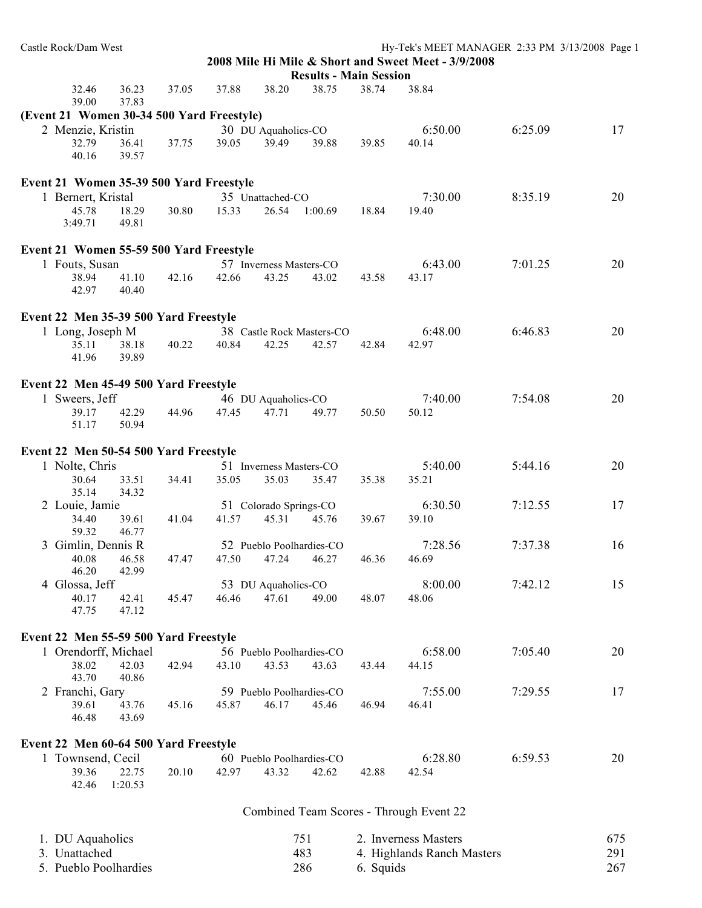| Castle Rock/Dam West                      |                  |       |             |                          |                               |       | 2008 Mile Hi Mile & Short and Sweet Meet - 3/9/2008 | Hy-Tek's MEET MANAGER 2:33 PM 3/13/2008 Page 1 |            |
|-------------------------------------------|------------------|-------|-------------|--------------------------|-------------------------------|-------|-----------------------------------------------------|------------------------------------------------|------------|
|                                           |                  |       |             |                          | <b>Results - Main Session</b> |       |                                                     |                                                |            |
| 32.46<br>39.00                            | 36.23<br>37.83   | 37.05 | 37.88       | 38.20                    | 38.75                         | 38.74 | 38.84                                               |                                                |            |
| (Event 21 Women 30-34 500 Yard Freestyle) |                  |       |             |                          |                               |       |                                                     |                                                |            |
| 2 Menzie, Kristin                         |                  |       |             | 30 DU Aquaholics-CO      |                               |       | 6:50.00                                             | 6:25.09                                        | 17         |
| 32.79                                     | 36.41            | 37.75 | 39.05       | 39.49                    | 39.88                         | 39.85 | 40.14                                               |                                                |            |
| 40.16                                     | 39.57            |       |             |                          |                               |       |                                                     |                                                |            |
| Event 21 Women 35-39 500 Yard Freestyle   |                  |       |             |                          |                               |       |                                                     |                                                |            |
| 1 Bernert, Kristal                        |                  |       |             | 35 Unattached-CO         |                               |       | 7:30.00                                             | 8:35.19                                        | 20         |
| 45.78                                     | 18.29            | 30.80 | 15.33       | 26.54                    | 1:00.69                       | 18.84 | 19.40                                               |                                                |            |
| 3:49.71                                   | 49.81            |       |             |                          |                               |       |                                                     |                                                |            |
| Event 21 Women 55-59 500 Yard Freestyle   |                  |       |             |                          |                               |       |                                                     |                                                |            |
| 1 Fouts, Susan                            |                  |       |             | 57 Inverness Masters-CO  |                               |       | 6:43.00                                             | 7:01.25                                        | 20         |
| 38.94<br>42.97                            | 41.10<br>40.40   | 42.16 | 42.66       | 43.25                    | 43.02                         | 43.58 | 43.17                                               |                                                |            |
| Event 22 Men 35-39 500 Yard Freestyle     |                  |       |             |                          |                               |       |                                                     |                                                |            |
| 1 Long, Joseph M                          |                  |       |             |                          | 38 Castle Rock Masters-CO     |       | 6:48.00                                             | 6:46.83                                        | 20         |
| 35.11                                     | 38.18            | 40.22 | 40.84       | 42.25                    | 42.57                         | 42.84 | 42.97                                               |                                                |            |
| 41.96                                     | 39.89            |       |             |                          |                               |       |                                                     |                                                |            |
| Event 22 Men 45-49 500 Yard Freestyle     |                  |       |             |                          |                               |       |                                                     |                                                |            |
| 1 Sweers, Jeff                            |                  |       |             | 46 DU Aquaholics-CO      |                               |       | 7:40.00                                             | 7:54.08                                        | 20         |
| 39.17                                     | 42.29            | 44.96 | 47.45       | 47.71                    | 49.77                         | 50.50 | 50.12                                               |                                                |            |
| 51.17                                     | 50.94            |       |             |                          |                               |       |                                                     |                                                |            |
| Event 22 Men 50-54 500 Yard Freestyle     |                  |       |             |                          |                               |       |                                                     |                                                |            |
| 1 Nolte, Chris                            |                  |       |             | 51 Inverness Masters-CO  |                               |       | 5:40.00                                             | 5:44.16                                        | 20         |
| 30.64                                     | 33.51            | 34.41 | 35.05       | 35.03                    | 35.47                         | 35.38 | 35.21                                               |                                                |            |
| 35.14                                     | 34.32            |       |             |                          |                               |       |                                                     |                                                |            |
| 2 Louie, Jamie                            |                  |       |             | 51 Colorado Springs-CO   |                               |       | 6:30.50                                             | 7:12.55                                        | 17         |
| 34.40                                     | 39.61            | 41.04 | 41.57       | 45.31                    | 45.76                         | 39.67 | 39.10                                               |                                                |            |
| 59.32<br>3 Gimlin, Dennis R               | 46.77            |       |             | 52 Pueblo Poolhardies-CO |                               |       | 7:28.56                                             | 7:37.38                                        | 16         |
| 40.08 46.58                               |                  | 47.47 | 47.50 47.24 |                          | 46.27                         | 46.36 | 46.69                                               |                                                |            |
| 46.20                                     | 42.99            |       |             |                          |                               |       |                                                     |                                                |            |
| 4 Glossa, Jeff                            |                  |       |             | 53 DU Aquaholics-CO      |                               |       | 8:00.00                                             | 7:42.12                                        | 15         |
| 40.17                                     | 42.41            | 45.47 | 46.46       | 47.61                    | 49.00                         | 48.07 | 48.06                                               |                                                |            |
| 47.75                                     | 47.12            |       |             |                          |                               |       |                                                     |                                                |            |
| Event 22 Men 55-59 500 Yard Freestyle     |                  |       |             |                          |                               |       |                                                     |                                                |            |
| 1 Orendorff, Michael                      |                  |       |             | 56 Pueblo Poolhardies-CO |                               |       | 6:58.00                                             | 7:05.40                                        | 20         |
| 38.02<br>43.70                            | 42.03<br>40.86   | 42.94 | 43.10       | 43.53                    | 43.63                         | 43.44 | 44.15                                               |                                                |            |
| 2 Franchi, Gary                           |                  |       |             | 59 Pueblo Poolhardies-CO |                               |       | 7:55.00                                             | 7:29.55                                        | 17         |
| 39.61                                     | 43.76            | 45.16 | 45.87       | 46.17                    | 45.46                         | 46.94 | 46.41                                               |                                                |            |
| 46.48                                     | 43.69            |       |             |                          |                               |       |                                                     |                                                |            |
| Event 22 Men 60-64 500 Yard Freestyle     |                  |       |             |                          |                               |       |                                                     |                                                |            |
| 1 Townsend, Cecil                         |                  |       |             | 60 Pueblo Poolhardies-CO |                               |       | 6:28.80                                             | 6:59.53                                        | 20         |
| 39.36<br>42.46                            | 22.75<br>1:20.53 | 20.10 | 42.97       | 43.32                    | 42.62                         | 42.88 | 42.54                                               |                                                |            |
|                                           |                  |       |             |                          |                               |       | Combined Team Scores - Through Event 22             |                                                |            |
|                                           |                  |       |             |                          |                               |       |                                                     |                                                |            |
| 1. DU Aquaholics                          |                  |       |             |                          | 751                           |       | 2. Inverness Masters                                |                                                | 675<br>201 |

3. Unattached 483 4. Highlands Ranch Masters 291 5. Pueblo Poolhardies 286 6. Squids 267